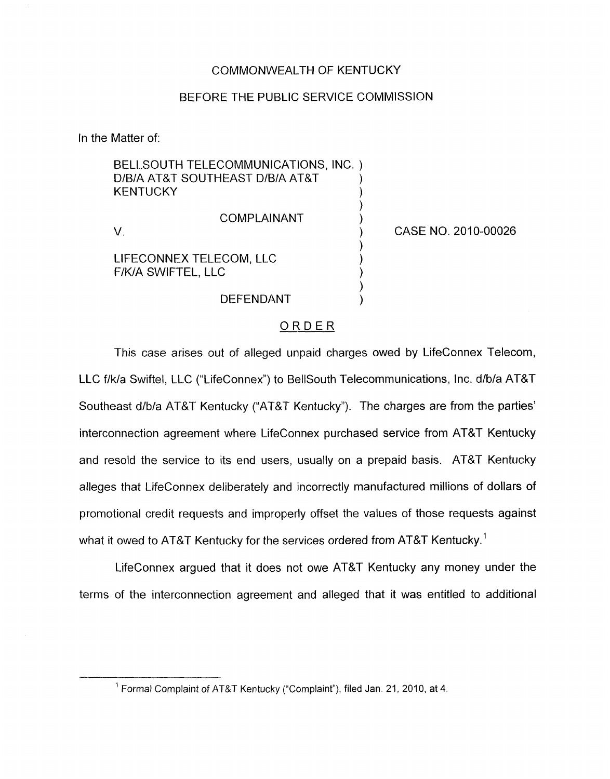## COMMONWEALTH OF KENTUCKY

## BEFORE THE PUBLIC SERVICE COMMISSION

In the Matter of:

| <b>KENTUCKY</b>                               | BELLSOUTH TELECOMMUNICATIONS, INC. )<br>D/B/A AT&T SOUTHEAST D/B/A AT&T |                     |
|-----------------------------------------------|-------------------------------------------------------------------------|---------------------|
|                                               | <b>COMPLAINANT</b>                                                      | CASE NO. 2010-00026 |
| LIFECONNEX TELECOM, LLC<br>F/K/A SWIFTEL, LLC |                                                                         |                     |
|                                               | DEFENDANT                                                               |                     |

# ORDER

This case arises out of alleged unpaid charges owed by LifeConnex Telecom, LLC f/k/a Swiftel, LLC ("LifeConnex") to BellSouth Telecommunications, Inc. d/b/a AT&T Southeast d/b/a AT&T Kentucky ("AT&T Kentucky"). The charges are from the parties' interconnection agreement where LifeConnex purchased service from AT&T Kentucky and resold the service to its end users, usually on a prepaid basis. AT&T Kentucky alleges that LifeConnex deliberately and incorrectly manufactured millions of dollars of promotional credit requests and improperly offset the values of those requests against what it owed to AT&T Kentucky for the services ordered from AT&T Kentucky.<sup>1</sup>

LifeConnex argued that it does not owe AT&T Kentucky any money under the terms of the interconnection agreement and alleged that it was entitled to additional

<sup>&</sup>lt;sup>1</sup> Formal Complaint of AT&T Kentucky ("Complaint"), filed Jan. 21, 2010, at 4.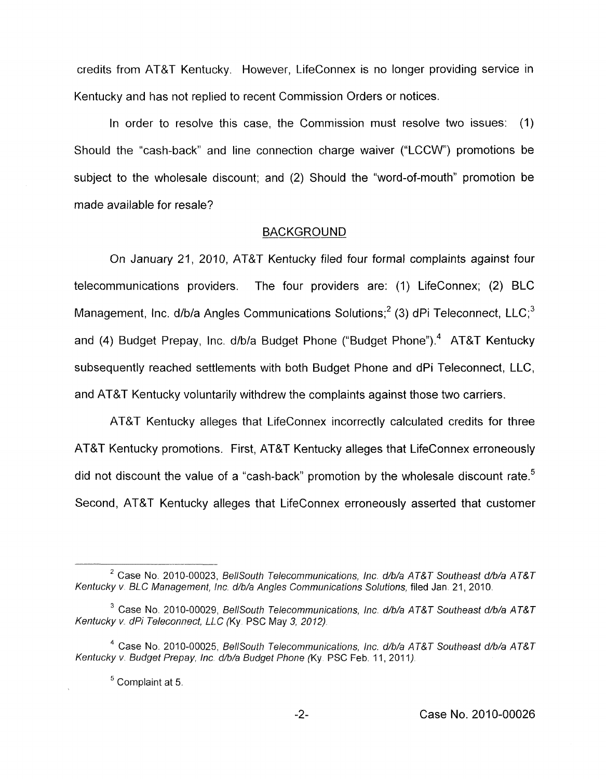credits from AT&T Kentucky. However, LifeConnex is no longer providing service in Kentucky and has not replied to recent Commission Orders or notices.

In order to resolve this case, the Commission must resolve two issues: (1) Should the "cash-back" and line connection charge waiver ("LCCW') promotions be subject to the wholesale discount; and (2) Should the "word-of-mouth" promotion be made available for resale?

#### **BACKGROUND**

On January 21, 2010, AT&T Kentucky filed four formal complaints against four telecommunications providers. The four providers are: (1) LifeConnex; (2) BLC Management, Inc.  $d/b/a$  Angles Communications Solutions;<sup>2</sup> (3) dPi Teleconnect, LLC;<sup>3</sup> and (4) Budget Prepay, Inc. d/b/a Budget Phone ("Budget Phone").<sup>4</sup> AT&T Kentucky subsequently reached settlements with both Budget Phone and dPi Teleconnect, LLC, and AT&T Kentucky voluntarily withdrew the complaints against those two carriers.

AT&T Kentucky alleges that LifeConnex incorrectly calculated credits for three AT&T Kentucky promotions. First, AT&T Kentucky alleges that LifeConnex erroneously did not discount the value of a "cash-back" promotion by the wholesale discount rate.<sup>5</sup> Second, AT&T Kentucky alleges that LifeConnex erroneously asserted that customer

<sup>&</sup>lt;sup>2</sup> Case No. 2010-00023, *BellSouth Telecommunications, Inc. d/b/a AT&T Southeast d/b/a AT&T* Kentucky v. BLC Management, Inc. d/b/a Angles Communications Solutions, filed Jan. 21, 2010.

<sup>&</sup>lt;sup>3</sup> Case No. 2010-00029, *BellSouth Telecommunications, Inc. d/b/a AT&T Southeast d/b/a AT&T Kentucky v dPi Teleconnect, LLC* (Ky PSC May 3, *2012)* 

<sup>&</sup>lt;sup>4</sup> Case No. 2010-00025, *BellSouth Telecommunications, Inc. d/b/a AT&T Southeast d/b/a AT&T* Kentucky v. Budget Prepay, Inc. d/b/a Budget Phone (Ky. PSC Feb. 11, 2011).

Complaint at 5 *<sup>5</sup>*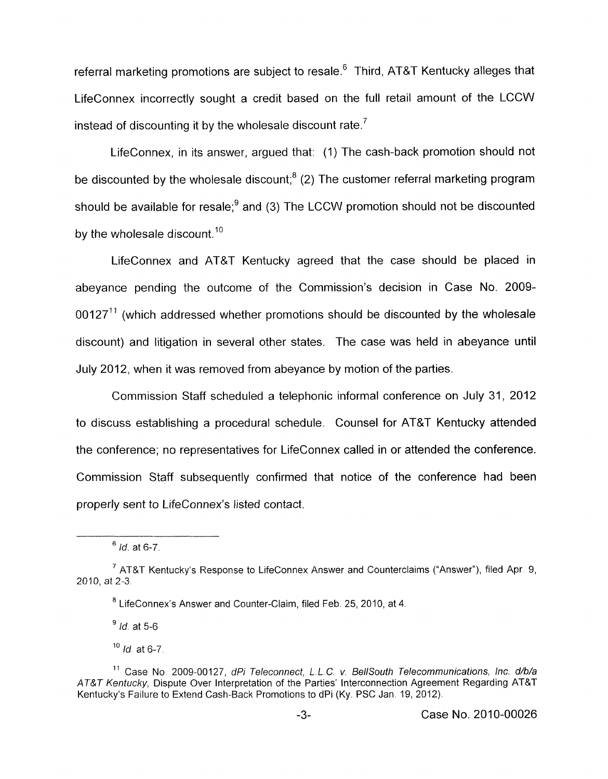referral marketing promotions are subject to resale.<sup>6</sup> Third, AT&T Kentucky alleges that LifeConnex incorrectly sought a credit based on the full retail amount of the LCCW instead of discounting it by the wholesale discount rate.<sup>7</sup>

LifeConnex, in its answer, argued that: (1) The cash-back promotion should not be discounted by the wholesale discount: $8(2)$  The customer referral marketing program should be available for resale; $<sup>9</sup>$  and (3) The LCCW promotion should not be discounted</sup> by the wholesale discount.<sup>10</sup>

LifeConnex and AT&T Kentucky agreed that the case should be placed in abeyance pending the outcome of the Commission's decision in Case No. 2009-  $0.0127<sup>11</sup>$  (which addressed whether promotions should be discounted by the wholesale discount) and litigation in several other states. The case was held in abeyance until July 2012, when it was removed from abeyance by motion of the parties.

Commission Staff scheduled a telephonic informal conference on July 31, 2012 to discuss establishing a procedural schedule. Counsel for AT&T Kentucky attended the conference; no representatives for LifeConnex called in or attended the conference. Commission Staff subsequently confirmed that notice of the conference had been properly sent to LifeConnex's listed contact.

*Id.* at *6-7* **<sup>6</sup>**

AT&T Kentucky's Response to LifeConnex Answer and Counterclaims ("Answer"), filed Apr. 9, **<sup>7</sup>** 2010, at 2-3.

<sup>&</sup>lt;sup>8</sup> LifeConnex's Answer and Counter-Claim, filed Feb. 25, 2010, at 4.

*Id.* at *5-6* **<sup>9</sup>**

<sup>10</sup> *Id.* at 6-7.

<sup>&</sup>lt;sup>11</sup> Case No. 2009-00127, dPi Teleconnect, L.L.C. v. BellSouth Telecommunications, Inc. d/b/a *A'P'&T Kentucky,* Dispute Over Interpretation of the Parties' Interconnection Agreement Regarding AT&P Kentucky's Failure to Extend Cash-Back Promotions to dPi (Ky. PSC Jan. 19, 2012).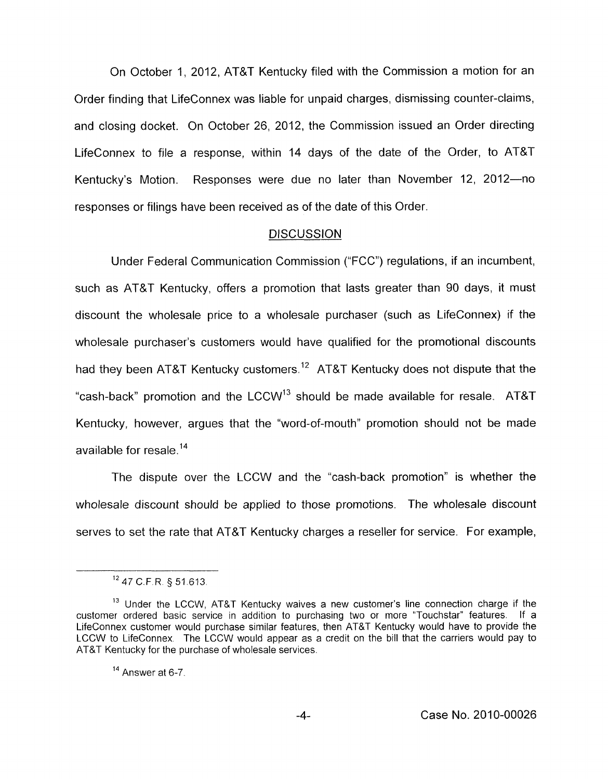On October 1, 2012, AT&T Kentucky filed with the Commission a motion for an Order finding that LifeConnex was liable for unpaid charges, dismissing counter-claims, and closing docket. On October 26, 2012, the Commission issued an Order directing LifeConnex to file a response, within 14 days of the date of the Order, to AT&T Kentucky's Motion. Responses were due no later than November 12, 2012-no responses or filings have been received as of the date of this Order.

### **DISCUSSION**

Under Federal Communication Commission ("FCC") regulations, if an incumbent, such as AT&T Kentucky, offers a promotion that lasts greater than 90 days, it must discount the wholesale price to a wholesale purchaser (such as LifeConnex) if the wholesale purchaser's customers would have qualified for the promotional discounts had they been AT&T Kentucky customers.<sup>12</sup> AT&T Kentucky does not dispute that the "cash-back" promotion and the  $LCCW^{13}$  should be made available for resale. AT&T Kentucky, however, argues that the "word-of-mouth" promotion should not be made available for resale.<sup>14</sup>

The dispute over the LCCW and the "cash-back promotion" is whether the wholesale discount should be applied to those promotions. The wholesale discount serves to set the rate that AT&T Kentucky charges a reseller for service. For example,

<sup>&#</sup>x27;\* 47 C.F R *5* 51.613

<sup>&</sup>lt;sup>13</sup> Under the LCCW, AT&T Kentucky waives a new customer's line connection charge if the customer ordered basic service in addition to purchasing two or more "Touchstar" features. If a LifeConnex customer would purchase similar features, then AT&T Kentucky would have to provide the LCCW to LifeConnex. The LCCW would appear as a credit on the bill that the carriers would pay to AT&T Kentucky for the purchase of wholesale services.

<sup>&</sup>lt;sup>14</sup> Answer at 6-7.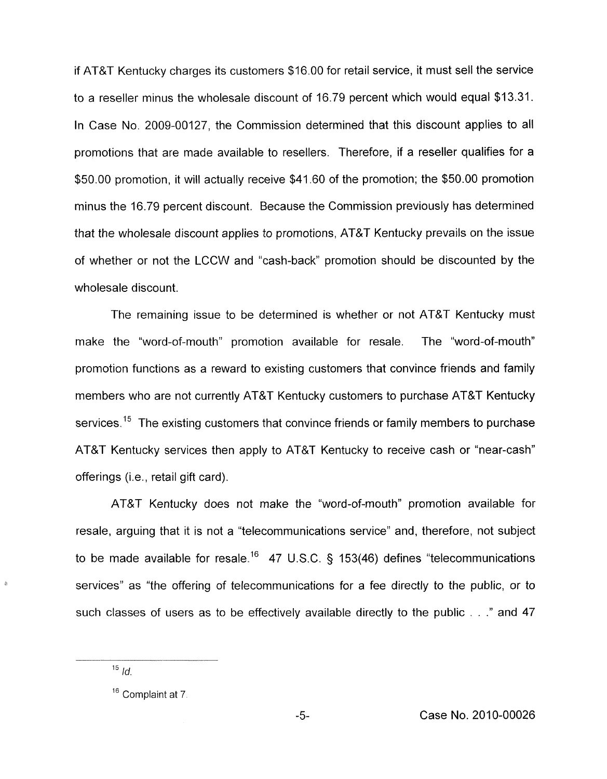if AT&T Kentucky charges its customers \$16.00 for retail service, it must sell the service to a reseller minus the wholesale discount of 16.79 percent which would equal \$13.31. In Case No. 2009-00127, the Commission determined that this discount applies to all promotions that are made available to resellers. Therefore, if a reseller qualifies for a \$50.00 promotion, it will actually receive \$41.60 of the promotion; the \$50.00 promotion minus the 16.79 percent discount. Because the Commission previously has determined that the wholesale discount applies to promotions, AT&T Kentucky prevails on the issue of whether or not the LCCW and "cash-back'' promotion should be discounted by the wholesale discount.

The remaining issue to be determined is whether or not AT&T Kentucky must make the "word-of-mouth" promotion available for resale. The "word-of-mouth" promotion functions as a reward to existing customers that convince friends and family members who are not currently AT&T Kentucky customers to purchase AT&T Kentucky services.<sup>15</sup> The existing customers that convince friends or family members to purchase AT&T Kentucky services then apply to AT&T Kentucky to receive cash or "near-cash" offerings (i.e., retail gift card).

AT&T Kentucky does not make the "word-of-mouth" promotion available for resale, arguing that it is not a "telecommunications service" and, therefore, not subject to be made available for resale.<sup>16</sup> 47 U.S.C. § 153(46) defines "telecommunications services" as "the offering of telecommunications for a fee directly to the public, or to such classes of users as to be effectively available directly to the public  $\ldots$  *"* and 47

 $15$  *Id.* 

<sup>&</sup>lt;sup>16</sup> Complaint at 7.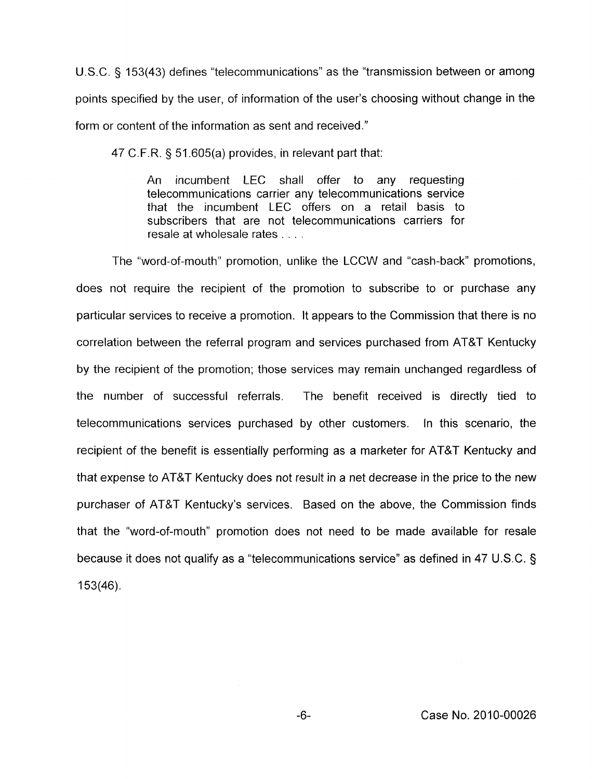U.S.C. 5 153(43) defines "telecommunications" as the "transmission between or among points specified by the user, of information of the user's choosing without change in the form or content of the information as sent and received."

47 C.F.R. § 51.605(a) provides, in relevant part that:

An incumbent LEC shall offer to any requesting telecommunications carrier any telecommunications service that the incumbent LEC offers on a retail basis to subscribers that are not telecommunications carriers for resale at wholesale rates . . . ,

The "word-of-mouth" promotion, unlike the LCCW and "cash-back" promotions, does not require the recipient of the promotion to subscribe to or purchase any particular services to receive a promotion. It appears to the Commission that there is no correlation between the referral program and services purchased from AT&T Kentucky by the recipient of the promotion; those services may remain unchanged regardless of the number of successful referrals. The benefit received is directly tied to telecommunications services purchased by other customers. In this scenario, the recipient of the benefit is essentially performing as a marketer for AT&T Kentucky and that expense to AT&T Kentucky does not result in a net decrease in the price to the new purchaser of AT&T Kentucky's services. Based on the above, the Commission finds that the "word-of-mouth" promotion does not need to be made available for resale because it does not qualify as a "telecommunications service" as defined in 47 U.S.C. § 153(46).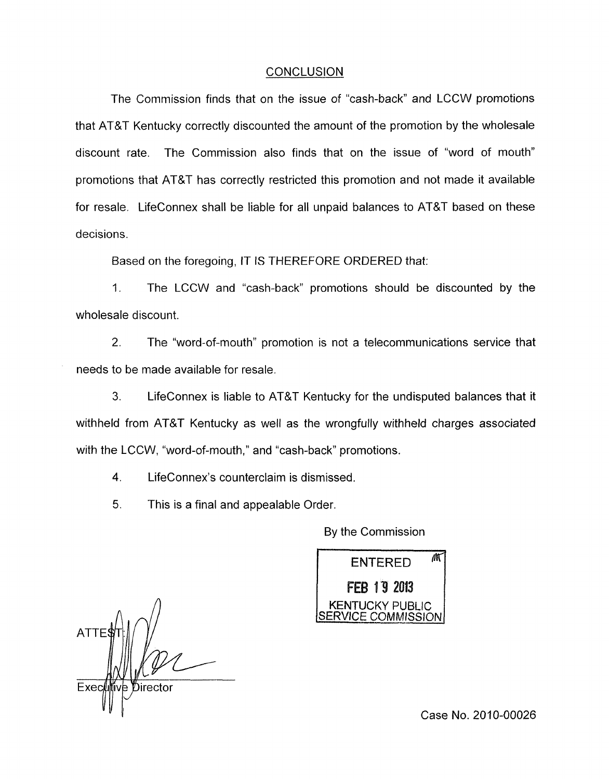### **CONCLUSION**

The Commission finds that on the issue of "cash-back" and LCCW promotions that AT&T Kentucky correctly discounted the amount of the promotion by the wholesale discount rate. The Commission also finds that on the issue of "word of mouth" promotions that AT&T has correctly restricted this promotion and not made it available for resale. LifeConnex shall be liable for all unpaid balances to AT&T based on these decisions.

Based on the foregoing, IT IS THEREFORE ORDERED that:

1. The LCCW and "cash-back" promotions should be discounted by the wholesale discount.

2. The "word-of-mouth" promotion is not a telecommunications service that needs to be made available for resale.

*3.* LifeConnex is liable to AT&T Kentucky for the undisputed balances that it withheld from AT&T Kentucky as well as the wrongfully withheld charges associated with the LCCW, "word-of-mouth," and "cash-back" promotions.

**4.** LifeConnex's counterclaim is dismissed.

5. This is a final and appealable Order.

By the Commission

M **ENTERED** FEB 19 2013 ICKY PUBLIC COMMISSION

 $ATT$ Execlu Director *c* 

Case No. 2010-00026